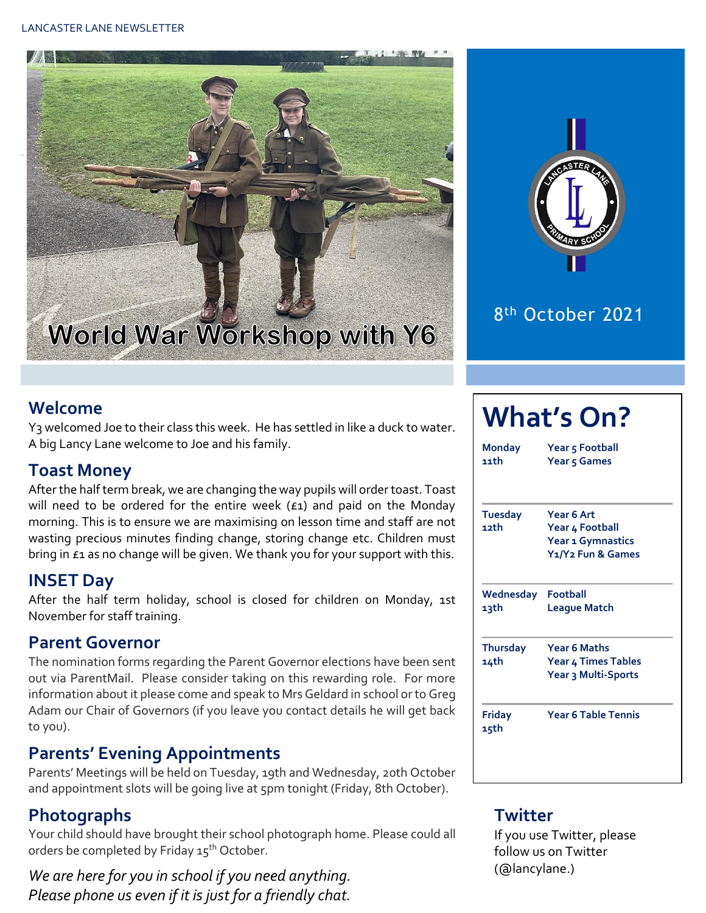#### LANCASTER LANE NEWSLETTER





## 8 th October 2021

#### **Welcome**

Y3 welcomed Joe to their class this week. He has settled in like a duck to water. A big Lancy Lane welcome to Joe and his family.

#### **Toast Money**

After the half term break, we are changing the way pupils will order toast. Toast will need to be ordered for the entire week  $(f_1)$  and paid on the Monday morning. This is to ensure we are maximising on lesson time and staff are not wasting precious minutes finding change, storing change etc. Children must bring in £1 as no change will be given. We thank you for your support with this.

#### **INSET Day**

After the half term holiday, school is closed for children on Monday, 1st November for staff training.

#### **Parent Governor**

The nomination forms regarding the Parent Governor elections have been sent out via ParentMail. Please consider taking on this rewarding role. For more information about it please come and speak to Mrs Geldard in school or to Greg Adam our Chair of Governors (if you leave you contact details he will get back to you).

#### **Parents' Evening Appointments**

Parents' Meetings will be held on Tuesday, 19th and Wednesday, 20th October and appointment slots will be going live at 5pm tonight (Friday, 8th October).

#### **Photographs**

Your child should have brought their school photograph home. Please could all orders be completed by Friday 15<sup>th</sup> October.

*We are here for you in school if you need anything. Please phone us even if it is just for a friendly chat.* 

## **What's On?**

**Monday Year 5 Football 11th Year 5 Games**

**Tuesday Year 6 Art 12th Year 4 Football Year 1 Gymnastics Y1/Y2 Fun & Games**

**Wednesday Football 13th League Match**

**Thursday Year 6 Maths 14th Year 4 Times Tables Year 3 Multi-Sports**

**15th**

**Friday Year 6 Table Tennis**

#### **Twitter**

If you use Twitter, please follow us on Twitter (@lancylane.)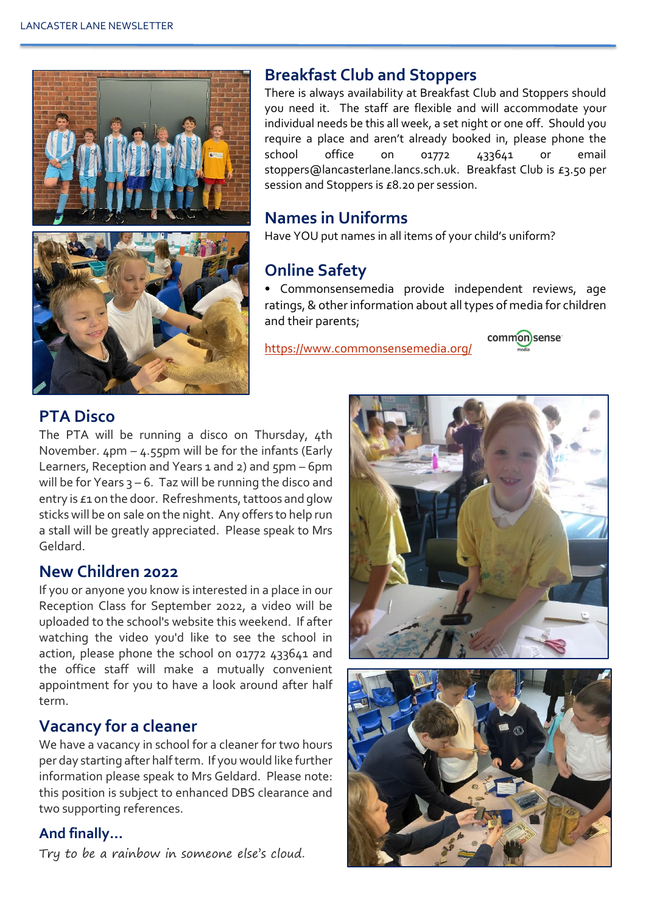

#### **Breakfast Club and Stoppers**

There is always availability at Breakfast Club and Stoppers should you need it. The staff are flexible and will accommodate your individual needs be this all week, a set night or one off. Should you require a place and aren't already booked in, please phone the school office on 01772 433641 or email stoppers@lancasterlane.lancs.sch.uk. Breakfast Club is £3.50 per session and Stoppers is £8.20 per session.

#### **Names in Uniforms**

Have YOU put names in all items of your child's uniform?

#### **Online Safety**

• Commonsensemedia provide independent reviews, age ratings, & other information about all types of media for children and their parents;

<https://www.commonsensemedia.org/>



#### **PTA Disco**

The PTA will be running a disco on Thursday, 4th November.  $4$ pm –  $4.55$ pm will be for the infants (Early Learners, Reception and Years 1 and 2) and 5pm – 6pm will be for Years  $3 - 6$ . Taz will be running the disco and entry is £1 on the door. Refreshments, tattoos and glow sticks will be on sale on the night. Any offers to help run a stall will be greatly appreciated. Please speak to Mrs Geldard.

#### **New Children 2022**

If you or anyone you know is interested in a place in our Reception Class for September 2022, a video will be uploaded to the school's website this weekend. If after watching the video you'd like to see the school in action, please phone the school on 01772 433641 and the office staff will make a mutually convenient appointment for you to have a look around after half term.

### **Vacancy for a cleaner**

We have a vacancy in school for a cleaner for two hours per day starting after half term. If you would like further information please speak to Mrs Geldard. Please note: this position is subject to enhanced DBS clearance and two supporting references.

#### **And finally…**

Try to be a rainbow in someone else's cloud.